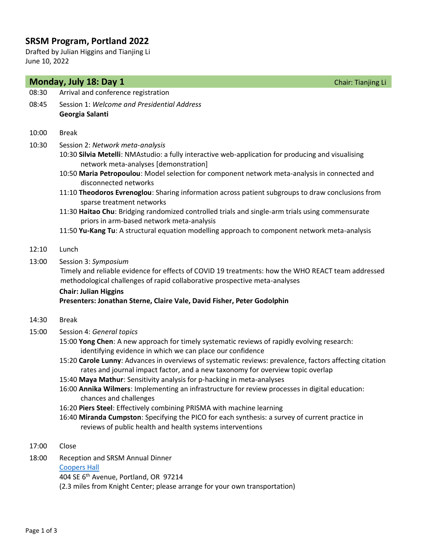# **SRSM Program, Portland 2022**

Drafted by Julian Higgins and Tianjing Li June 10, 2022

| Monday, July 18: Day 1 | Chair: Tianjing Li                                                                                                                                                                                                                                                                                                                                                                                                                                                                                                                                                                                                                                                                                                                                                                                                                 |  |
|------------------------|------------------------------------------------------------------------------------------------------------------------------------------------------------------------------------------------------------------------------------------------------------------------------------------------------------------------------------------------------------------------------------------------------------------------------------------------------------------------------------------------------------------------------------------------------------------------------------------------------------------------------------------------------------------------------------------------------------------------------------------------------------------------------------------------------------------------------------|--|
| 08:30                  | Arrival and conference registration                                                                                                                                                                                                                                                                                                                                                                                                                                                                                                                                                                                                                                                                                                                                                                                                |  |
| 08:45                  | Session 1: Welcome and Presidential Address<br>Georgia Salanti                                                                                                                                                                                                                                                                                                                                                                                                                                                                                                                                                                                                                                                                                                                                                                     |  |
| 10:00                  | <b>Break</b>                                                                                                                                                                                                                                                                                                                                                                                                                                                                                                                                                                                                                                                                                                                                                                                                                       |  |
| 10:30                  | Session 2: Network meta-analysis<br>10:30 Silvia Metelli: NMAstudio: a fully interactive web-application for producing and visualising<br>network meta-analyses [demonstration]<br>10:50 Maria Petropoulou: Model selection for component network meta-analysis in connected and<br>disconnected networks<br>11:10 Theodoros Evrenoglou: Sharing information across patient subgroups to draw conclusions from<br>sparse treatment networks<br>11:30 Haitao Chu: Bridging randomized controlled trials and single-arm trials using commensurate<br>priors in arm-based network meta-analysis<br>11:50 Yu-Kang Tu: A structural equation modelling approach to component network meta-analysis                                                                                                                                      |  |
| 12:10                  | Lunch                                                                                                                                                                                                                                                                                                                                                                                                                                                                                                                                                                                                                                                                                                                                                                                                                              |  |
| 13:00                  | Session 3: Symposium<br>Timely and reliable evidence for effects of COVID 19 treatments: how the WHO REACT team addressed<br>methodological challenges of rapid collaborative prospective meta-analyses<br><b>Chair: Julian Higgins</b><br>Presenters: Jonathan Sterne, Claire Vale, David Fisher, Peter Godolphin                                                                                                                                                                                                                                                                                                                                                                                                                                                                                                                 |  |
| 14:30                  | <b>Break</b>                                                                                                                                                                                                                                                                                                                                                                                                                                                                                                                                                                                                                                                                                                                                                                                                                       |  |
| 15:00                  | Session 4: General topics<br>15:00 Yong Chen: A new approach for timely systematic reviews of rapidly evolving research:<br>identifying evidence in which we can place our confidence<br>15:20 Carole Lunny: Advances in overviews of systematic reviews: prevalence, factors affecting citation<br>rates and journal impact factor, and a new taxonomy for overview topic overlap<br>15:40 Maya Mathur: Sensitivity analysis for p-hacking in meta-analyses<br>16:00 Annika Wilmers: Implementing an infrastructure for review processes in digital education:<br>chances and challenges<br>16:20 Piers Steel: Effectively combining PRISMA with machine learning<br>16:40 Miranda Cumpston: Specifying the PICO for each synthesis: a survey of current practice in<br>reviews of public health and health systems interventions |  |
| 17:00                  | Close                                                                                                                                                                                                                                                                                                                                                                                                                                                                                                                                                                                                                                                                                                                                                                                                                              |  |
| 18:00                  | Reception and SRSM Annual Dinner<br><b>Coopers Hall</b><br>404 SE 6th Avenue, Portland, OR 97214<br>(2.3 miles from Knight Center; please arrange for your own transportation)                                                                                                                                                                                                                                                                                                                                                                                                                                                                                                                                                                                                                                                     |  |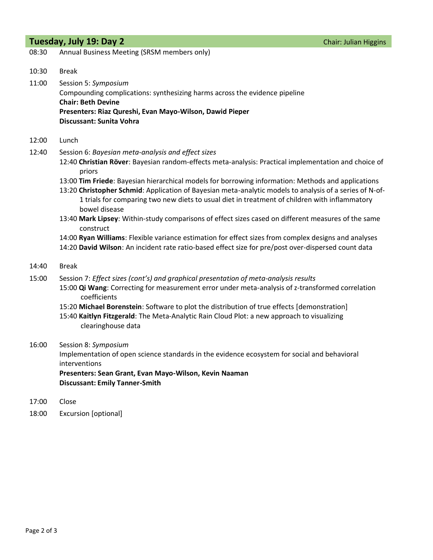### **Tuesday, July 19: Day 2** Chair: Julian Higgins

| 08:30 | Annual Business Meeting (SRSM members only) |  |  |
|-------|---------------------------------------------|--|--|
|-------|---------------------------------------------|--|--|

10:30 Break

11:00 Session 5: *Symposium* Compounding complications: synthesizing harms across the evidence pipeline **Chair: Beth Devine Presenters: Riaz Qureshi, Evan Mayo-Wilson, Dawid Pieper Discussant: Sunita Vohra**

- 12:00 Lunch
- 12:40 Session 6: *Bayesian meta-analysis and effect sizes*
	- 12:40 **Christian Röver**: Bayesian random-effects meta-analysis: Practical implementation and choice of priors
	- 13:00 **Tim Friede**: Bayesian hierarchical models for borrowing information: Methods and applications
	- 13:20 **Christopher Schmid**: Application of Bayesian meta-analytic models to analysis of a series of N-of-1 trials for comparing two new diets to usual diet in treatment of children with inflammatory bowel disease
	- 13:40 **Mark Lipsey**: Within-study comparisons of effect sizes cased on different measures of the same construct
	- 14:00 **Ryan Williams**: Flexible variance estimation for effect sizes from complex designs and analyses 14:20 **David Wilson**: An incident rate ratio-based effect size for pre/post over-dispersed count data
- 14:40 Break
- 15:00 Session 7: *Effect sizes (cont's) and graphical presentation of meta-analysis results* 15:00 **Qi Wang**: Correcting for measurement error under meta-analysis of z-transformed correlation coefficients
	- 15:20 **Michael Borenstein**: Software to plot the distribution of true effects [demonstration] 15:40 **Kaitlyn Fitzgerald**: The Meta-Analytic Rain Cloud Plot: a new approach to visualizing clearinghouse data

#### 16:00 Session 8: *Symposium*

Implementation of open science standards in the evidence ecosystem for social and behavioral interventions

**Presenters: Sean Grant, Evan Mayo-Wilson, Kevin Naaman Discussant: Emily Tanner-Smith**

- 17:00 Close
- 18:00 Excursion [optional]